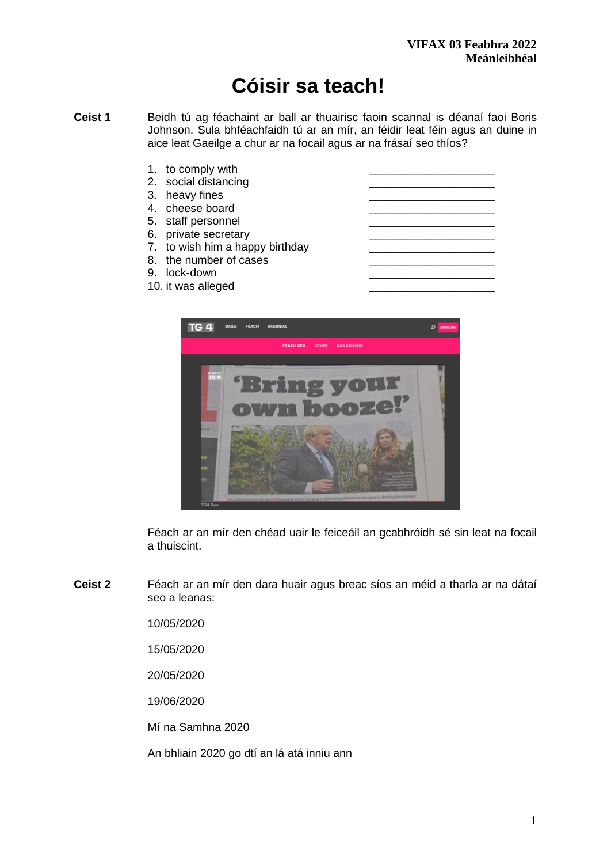# **Cóisir sa teach!**

**Ceist 1** Beidh tú ag féachaint ar ball ar thuairisc faoin scannal is déanaí faoi Boris Johnson. Sula bhféachfaidh tú ar an mír, an féidir leat féin agus an duine in aice leat Gaeilge a chur ar na focail agus ar na frásaí seo thíos?

| 1. to comply with               |  |
|---------------------------------|--|
| 2. social distancing            |  |
| 3. heavy fines                  |  |
| 4. cheese board                 |  |
| 5. staff personnel              |  |
| 6. private secretary            |  |
| 7. to wish him a happy birthday |  |
| 8. the number of cases          |  |
| 9. lock-down                    |  |
| 10. it was alleged              |  |
|                                 |  |



Féach ar an mír den chéad uair le feiceáil an gcabhróidh sé sin leat na focail a thuiscint.

**Ceist 2** Féach ar an mír den dara huair agus breac síos an méid a tharla ar na dátaí seo a leanas:

10/05/2020

15/05/2020

20/05/2020

19/06/2020

Mí na Samhna 2020

An bhliain 2020 go dtí an lá atá inniu ann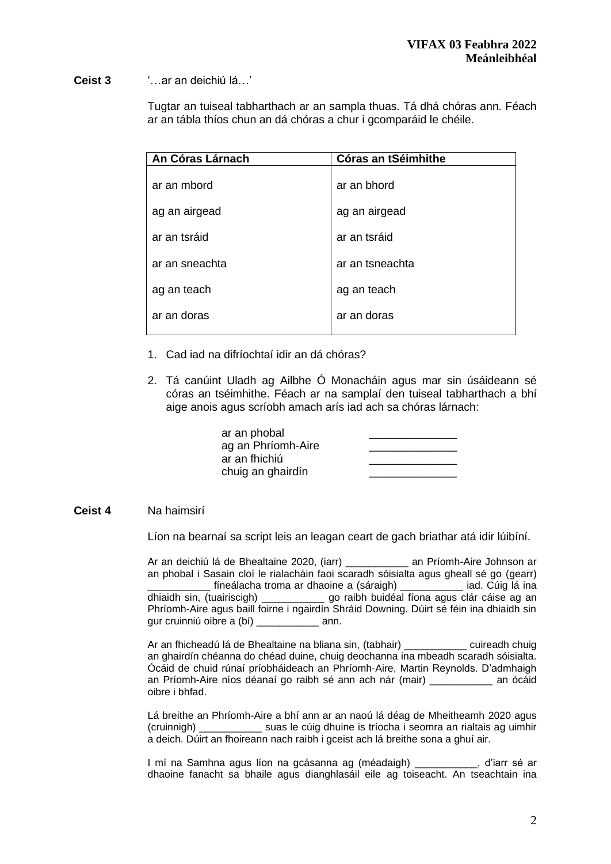#### **Ceist 3** '…ar an deichiú lá…'

Tugtar an tuiseal tabharthach ar an sampla thuas. Tá dhá chóras ann. Féach ar an tábla thíos chun an dá chóras a chur i gcomparáid le chéile.

| An Córas Lárnach | Córas an tSéimhithe |
|------------------|---------------------|
| ar an mbord      | ar an bhord         |
| ag an airgead    | ag an airgead       |
| ar an tsráid     | ar an tsráid        |
| ar an sneachta   | ar an tsneachta     |
| ag an teach      | ag an teach         |
| ar an doras      | ar an doras         |
|                  |                     |

- 1. Cad iad na difríochtaí idir an dá chóras?
- 2. Tá canúint Uladh ag Ailbhe Ó Monacháin agus mar sin úsáideann sé córas an tséimhithe. Féach ar na samplaí den tuiseal tabharthach a bhí aige anois agus scríobh amach arís iad ach sa chóras lárnach:

ar an phobal ag an Phríomh-Aire ar an fhichiú **an chuid an chuid an chuid an chuid an chuid an chuid an chuid an chuid an chuid an chuid an chu** chuig an ghairdín \_\_\_\_\_\_\_\_\_\_\_\_\_\_

#### **Ceist 4** Na haimsirí

Líon na bearnaí sa script leis an leagan ceart de gach briathar atá idir lúibíní.

Ar an deichiú lá de Bhealtaine 2020, (iarr) \_\_\_\_\_\_\_\_\_\_\_ an Príomh-Aire Johnson ar an phobal i Sasain cloí le rialacháin faoi scaradh sóisialta agus gheall sé go (gearr) \_\_\_\_\_\_\_\_\_\_\_ fíneálacha troma ar dhaoine a (sáraigh) \_\_\_\_\_\_\_\_\_\_\_ iad. Cúig lá ina dhiaidh sin, (tuairiscigh) \_\_\_\_\_\_\_\_\_\_\_ go raibh buidéal fíona agus clár cáise ag an Phríomh-Aire agus baill foirne i ngairdín Shráid Downing. Dúirt sé féin ina dhiaidh sin gur cruinniú oibre a (bí) \_\_\_\_\_\_\_\_\_\_\_ ann.

Ar an fhicheadú lá de Bhealtaine na bliana sin, (tabhair) \_\_\_\_\_\_\_\_\_\_\_ cuireadh chuig an ghairdín chéanna do chéad duine, chuig deochanna ina mbeadh scaradh sóisialta. Ócáid de chuid rúnaí príobháideach an Phríomh-Aire, Martin Reynolds. D'admhaigh an Príomh-Aire níos déanaí go raibh sé ann ach nár (mair) \_\_\_\_\_\_\_\_\_\_\_ an ócáid oibre i bhfad.

Lá breithe an Phríomh-Aire a bhí ann ar an naoú lá déag de Mheitheamh 2020 agus (cruinnigh) \_\_\_\_\_\_\_\_\_\_\_ suas le cúig dhuine is tríocha i seomra an rialtais ag uimhir a deich. Dúirt an fhoireann nach raibh i gceist ach lá breithe sona a ghuí air.

I mí na Samhna agus líon na gcásanna ag (méadaigh) \_\_\_\_\_\_\_\_\_\_\_, d'iarr sé ar dhaoine fanacht sa bhaile agus dianghlasáil eile ag toiseacht. An tseachtain ina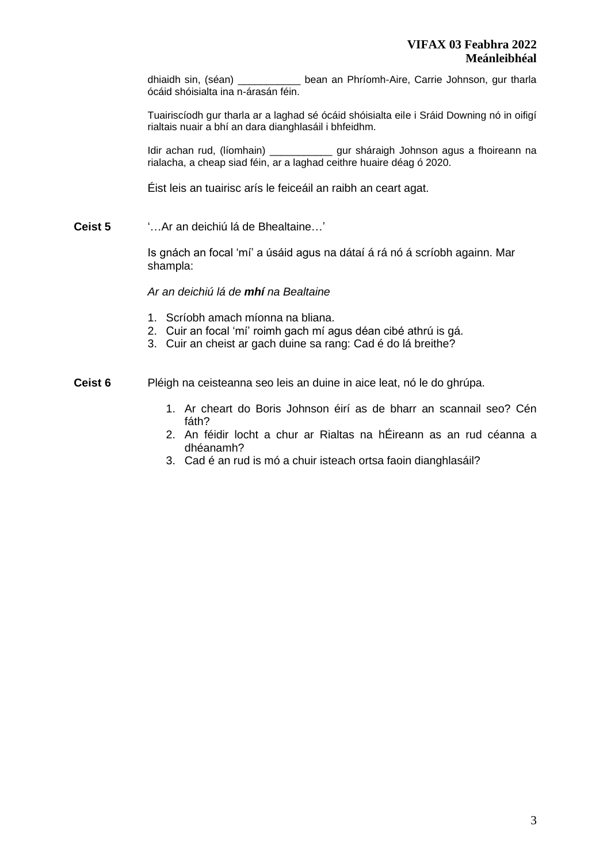dhiaidh sin, (séan) \_\_\_\_\_\_\_\_\_\_\_ bean an Phríomh-Aire, Carrie Johnson, gur tharla ócáid shóisialta ina n-árasán féin.

Tuairiscíodh gur tharla ar a laghad sé ócáid shóisialta eile i Sráid Downing nó in oifigí rialtais nuair a bhí an dara dianghlasáil i bhfeidhm.

Idir achan rud, (líomhain) \_\_\_\_\_\_\_\_\_\_\_\_\_ gur sháraigh Johnson agus a fhoireann na rialacha, a cheap siad féin, ar a laghad ceithre huaire déag ó 2020.

Éist leis an tuairisc arís le feiceáil an raibh an ceart agat.

**Ceist 5** '…Ar an deichiú lá de Bhealtaine…'

Is gnách an focal 'mí' a úsáid agus na dátaí á rá nó á scríobh againn. Mar shampla:

#### *Ar an deichiú lá de mhí na Bealtaine*

- 1. Scríobh amach míonna na bliana.
- 2. Cuir an focal 'mí' roimh gach mí agus déan cibé athrú is gá.
- 3. Cuir an cheist ar gach duine sa rang: Cad é do lá breithe?
- **Ceist 6** Pléigh na ceisteanna seo leis an duine in aice leat, nó le do ghrúpa.
	- 1. Ar cheart do Boris Johnson éirí as de bharr an scannail seo? Cén fáth?
	- 2. An féidir locht a chur ar Rialtas na hÉireann as an rud céanna a dhéanamh?
	- 3. Cad é an rud is mó a chuir isteach ortsa faoin dianghlasáil?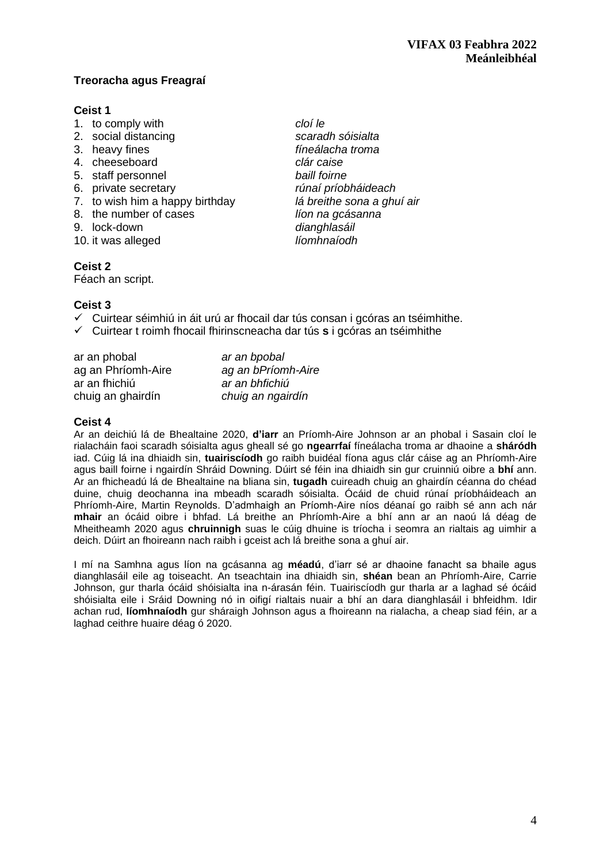# **Treoracha agus Freagraí**

## **Ceist 1**

- 1. to comply with *cloí le*
- 
- 
- 4. cheeseboard *clár caise*
- 5. staff personnel *baill foirne*
- 
- 
- 
- 9. lock-down *dianghlasáil*
- 10. it was alleged *líomhnaíodh*

# **Ceist 2**

Féach an script.

### **Ceist 3**

- $\checkmark$  Cuirtear séimhiú in áit urú ar fhocail dar tús consan i gcóras an tséimhithe.
- ✓ Cuirtear t roimh fhocail fhirinscneacha dar tús **s** i gcóras an tséimhithe

| ar an phobal       | ar an bpobal       |
|--------------------|--------------------|
| ag an Phríomh-Aire | ag an bPríomh-Aire |
| ar an fhichiú      | ar an bhfichiú     |
| chuig an ghairdín  | chuig an ngairdín  |

## **Ceist 4**

Ar an deichiú lá de Bhealtaine 2020, **d'iarr** an Príomh-Aire Johnson ar an phobal i Sasain cloí le rialacháin faoi scaradh sóisialta agus gheall sé go **ngearrfaí** fíneálacha troma ar dhaoine a **sháródh** iad. Cúig lá ina dhiaidh sin, **tuairiscíodh** go raibh buidéal fíona agus clár cáise ag an Phríomh-Aire agus baill foirne i ngairdín Shráid Downing. Dúirt sé féin ina dhiaidh sin gur cruinniú oibre a **bhí** ann. Ar an fhicheadú lá de Bhealtaine na bliana sin, **tugadh** cuireadh chuig an ghairdín céanna do chéad duine, chuig deochanna ina mbeadh scaradh sóisialta. Ócáid de chuid rúnaí príobháideach an Phríomh-Aire, Martin Reynolds. D'admhaigh an Príomh-Aire níos déanaí go raibh sé ann ach nár **mhair** an ócáid oibre i bhfad. Lá breithe an Phríomh-Aire a bhí ann ar an naoú lá déag de Mheitheamh 2020 agus **chruinnigh** suas le cúig dhuine is tríocha i seomra an rialtais ag uimhir a deich. Dúirt an fhoireann nach raibh i gceist ach lá breithe sona a ghuí air.

I mí na Samhna agus líon na gcásanna ag **méadú**, d'iarr sé ar dhaoine fanacht sa bhaile agus dianghlasáil eile ag toiseacht. An tseachtain ina dhiaidh sin, **shéan** bean an Phríomh-Aire, Carrie Johnson, gur tharla ócáid shóisialta ina n-árasán féin. Tuairiscíodh gur tharla ar a laghad sé ócáid shóisialta eile i Sráid Downing nó in oifigí rialtais nuair a bhí an dara dianghlasáil i bhfeidhm. Idir achan rud, **líomhnaíodh** gur sháraigh Johnson agus a fhoireann na rialacha, a cheap siad féin, ar a laghad ceithre huaire déag ó 2020.

2. social distancing *scaradh sóisialta*  3. heavy fines *fíneálacha troma*  6. private secretary *rúnaí príobháideach*  7. to wish him a happy birthday *lá breithe sona a ghuí air* 8. the number of cases *líon na gcásanna*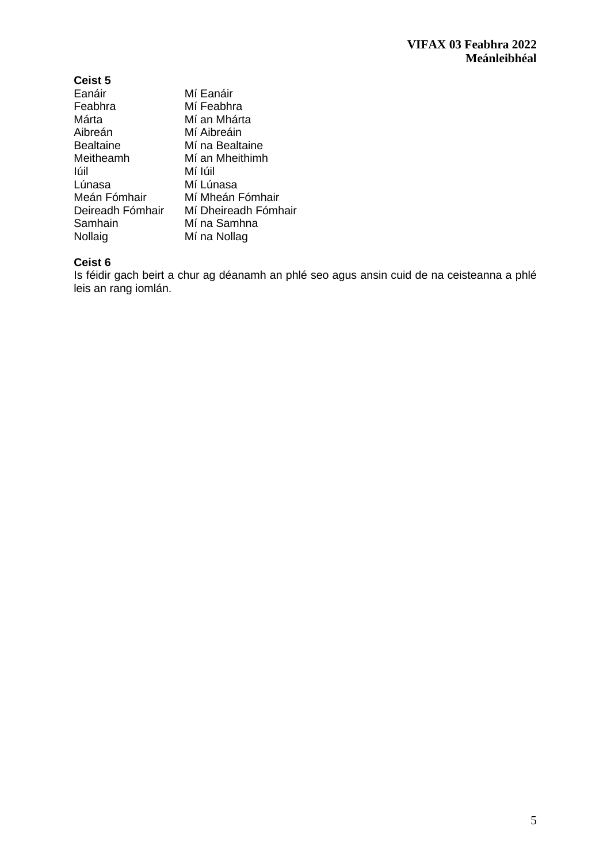| Ceist 5          |                      |
|------------------|----------------------|
| Eanáir           | Mí Eanáir            |
| Feabhra          | Mí Feabhra           |
| Márta            | Mí an Mhárta         |
| Aibreán          | Mí Aibreáin          |
| <b>Bealtaine</b> | Mí na Bealtaine      |
| Meitheamh        | Mí an Mheithimh      |
| lúil             | Mí Iúil              |
| Lúnasa           | Mí Lúnasa            |
| Meán Fómhair     | Mí Mheán Fómhair     |
| Deireadh Fómhair | Mí Dheireadh Fómhair |
| Samhain          | Mí na Samhna         |
| Nollaig          | Mí na Nollag         |

#### **Ceist 6**

Is féidir gach beirt a chur ag déanamh an phlé seo agus ansin cuid de na ceisteanna a phlé leis an rang iomlán.